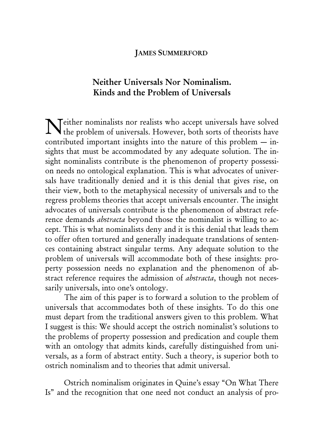## JAMES SUMMERFORD

# Neither Universals Nor Nominalism. Kinds and the Problem of Universals

either nominalists nor realists who accept universals have solved Neither nominalists nor realists who accept universals have solved<br>the problem of universals. However, both sorts of theorists have contributed important insights into the nature of this problem — insights that must be accommodated by any adequate solution. The insight nominalists contribute is the phenomenon of property possession needs no ontological explanation. This is what advocates of universals have traditionally denied and it is this denial that gives rise, on their view, both to the metaphysical necessity of universals and to the regress problems theories that accept universals encounter. The insight advocates of universals contribute is the phenomenon of abstract reference demands abstracta beyond those the nominalist is willing to accept. This is what nominalists deny and it is this denial that leads them to offer often tortured and generally inadequate translations of sentences containing abstract singular terms. Any adequate solution to the problem of universals will accommodate both of these insights: property possession needs no explanation and the phenomenon of abstract reference requires the admission of abstracta, though not necessarily universals, into one's ontology.

The aim of this paper is to forward a solution to the problem of universals that accommodates both of these insights. To do this one must depart from the traditional answers given to this problem. What I suggest is this: We should accept the ostrich nominalist's solutions to the problems of property possession and predication and couple them with an ontology that admits kinds, carefully distinguished from universals, as a form of abstract entity. Such a theory, is superior both to ostrich nominalism and to theories that admit universal.

Ostrich nominalism originates in Quine's essay "On What There Is" and the recognition that one need not conduct an analysis of pro-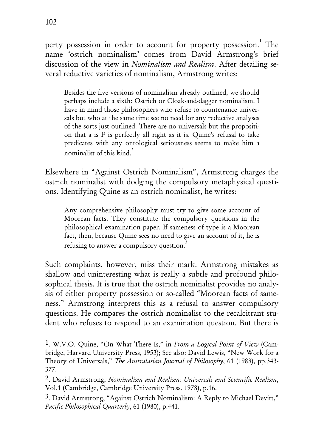perty possession in order to account for property possession. $^{\rm 1}$  The name 'ostrich nominalism' comes from David Armstrong's brief discussion of the view in Nominalism and Realism. After detailing several reductive varieties of nominalism, Armstrong writes:

Besides the five versions of nominalism already outlined, we should perhaps include a sixth: Ostrich or Cloak-and-dagger nominalism. I have in mind those philosophers who refuse to countenance universals but who at the same time see no need for any reductive analyses of the sorts just outlined. There are no universals but the proposition that a is F is perfectly all right as it is. Quine's refusal to take predicates with any ontological seriousness seems to make him a nominalist of this kind. $^{2}$ 

Elsewhere in "Against Ostrich Nominalism", Armstrong charges the ostrich nominalist with dodging the compulsory metaphysical questions. Identifying Quine as an ostrich nominalist, he writes:

Any comprehensive philosophy must try to give some account of Moorean facts. They constitute the compulsory questions in the philosophical examination paper. If sameness of type is a Moorean fact, then, because Quine sees no need to give an account of it, he is refusing to answer a compulsory question.<sup>3</sup>

Such complaints, however, miss their mark. Armstrong mistakes as shallow and uninteresting what is really a subtle and profound philosophical thesis. It is true that the ostrich nominalist provides no analysis of either property possession or so-called "Moorean facts of sameness." Armstrong interprets this as a refusal to answer compulsory questions. He compares the ostrich nominalist to the recalcitrant student who refuses to respond to an examination question. But there is

<sup>&</sup>lt;sup>1</sup>. W.V.O. Quine, "On What There Is," in *From a Logical Point of View* (Cambridge, Harvard University Press, 1953); See also: David Lewis, "New Work for a Theory of Universals," The Australasian Journal of Philosophy, 61 (1983), pp.343-377.

<sup>2.</sup> David Armstrong, Nominalism and Realism: Universals and Scientific Realism, Vol.1 (Cambridge, Cambridge University Press. 1978), p.16.

<sup>3.</sup> David Armstrong, "Against Ostrich Nominalism: A Reply to Michael Devitt," Pacific Philosophical Quarterly, 61 (1980), p.441.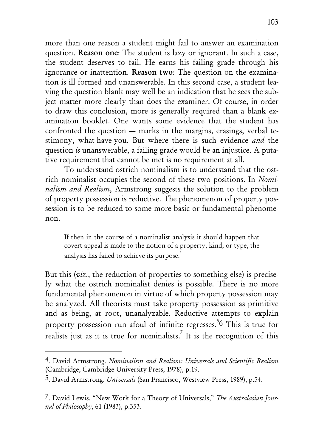more than one reason a student might fail to answer an examination question. Reason one: The student is lazy or ignorant. In such a case, the student deserves to fail. He earns his failing grade through his ignorance or inattention. Reason two: The question on the examination is ill formed and unanswerable. In this second case, a student leaving the question blank may well be an indication that he sees the subject matter more clearly than does the examiner. Of course, in order to draw this conclusion, more is generally required than a blank examination booklet. One wants some evidence that the student has confronted the question — marks in the margins, erasings, verbal testimony, what-have-you. But where there is such evidence and the question is unanswerable, a failing grade would be an injustice. A putative requirement that cannot be met is no requirement at all.

To understand ostrich nominalism is to understand that the ostrich nominalist occupies the second of these two positions. In Nominalism and Realism, Armstrong suggests the solution to the problem of property possession is reductive. The phenomenon of property possession is to be reduced to some more basic or fundamental phenomenon.

If then in the course of a nominalist analysis it should happen that covert appeal is made to the notion of a property, kind, or type, the analysis has failed to achieve its purpose.<sup>4</sup>

But this (viz., the reduction of properties to something else) is precisely what the ostrich nominalist denies is possible. There is no more fundamental phenomenon in virtue of which property possession may be analyzed. All theorists must take property possession as primitive and as being, at root, unanalyzable. Reductive attempts to explain property possession run afoul of infinite regresses.<sup>5</sup>6 This is true for realists just as it is true for nominalists.<sup>7</sup> It is the recognition of this

<sup>4.</sup> David Armstrong. Nominalism and Realism: Universals and Scientific Realism (Cambridge, Cambridge University Press, 1978), p.19.

<sup>5.</sup> David Armstrong. Universals (San Francisco, Westview Press, 1989), p.54.

<sup>&</sup>lt;sup>7</sup>. David Lewis. "New Work for a Theory of Universals," The Australasian Journal of Philosophy, 61 (1983), p.353.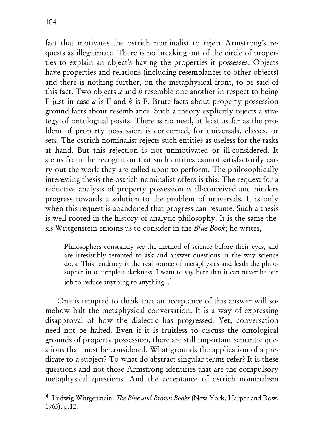fact that motivates the ostrich nominalist to reject Armstrong's requests as illegitimate. There is no breaking out of the circle of properties to explain an object's having the properties it possesses. Objects have properties and relations (including resemblances to other objects) and there is nothing further, on the metaphysical front, to be said of this fact. Two objects a and b resemble one another in respect to being F just in case  $\alpha$  is F and  $\beta$  is F. Brute facts about property possession ground facts about resemblance. Such a theory explicitly rejects a strategy of ontological posits. There is no need, at least as far as the problem of property possession is concerned, for universals, classes, or sets. The ostrich nominalist rejects such entities as useless for the tasks at hand. But this rejection is not unmotivated or ill-considered. It stems from the recognition that such entities cannot satisfactorily carry out the work they are called upon to perform. The philosophically interesting thesis the ostrich nominalist offers is this: The request for a reductive analysis of property possession is ill-conceived and hinders progress towards a solution to the problem of universals. It is only when this request is abandoned that progress can resume. Such a thesis is well rooted in the history of analytic philosophy. It is the same thesis Wittgenstein enjoins us to consider in the Blue Book; he writes,

Philosophers constantly see the method of science before their eyes, and are irresistibly tempted to ask and answer questions in the way science does. This tendency is the real source of metaphysics and leads the philosopher into complete darkness. I want to say here that it can never be our job to reduce anything to anything...<sup>8</sup>

One is tempted to think that an acceptance of this answer will somehow halt the metaphysical conversation. It is a way of expressing disapproval of how the dialectic has progressed. Yet, conversation need not be halted. Even if it is fruitless to discuss the ontological grounds of property possession, there are still important semantic questions that must be considered. What grounds the application of a predicate to a subject? To what do abstract singular terms refer? It is these questions and not those Armstrong identifies that are the compulsory metaphysical questions. And the acceptance of ostrich nominalism

<sup>8.</sup> Ludwig Wittgenstein. The Blue and Brown Books (New York, Harper and Row, 1965), p.12.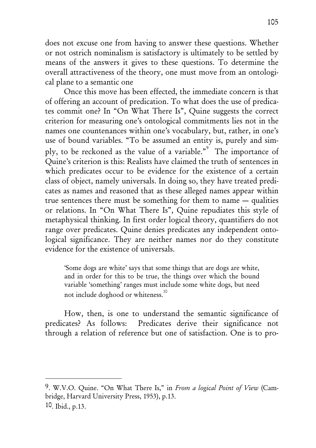does not excuse one from having to answer these questions. Whether or not ostrich nominalism is satisfactory is ultimately to be settled by means of the answers it gives to these questions. To determine the overall attractiveness of the theory, one must move from an ontological plane to a semantic one

Once this move has been effected, the immediate concern is that of offering an account of predication. To what does the use of predicates commit one? In "On What There Is", Quine suggests the correct criterion for measuring one's ontological commitments lies not in the names one countenances within one's vocabulary, but, rather, in one's use of bound variables. "To be assumed an entity is, purely and simply, to be reckoned as the value of a variable."<sup>9</sup> The importance of Quine's criterion is this: Realists have claimed the truth of sentences in which predicates occur to be evidence for the existence of a certain class of object, namely universals. In doing so, they have treated predicates as names and reasoned that as these alleged names appear within true sentences there must be something for them to name — qualities or relations. In "On What There Is", Quine repudiates this style of metaphysical thinking. In first order logical theory, quantifiers do not range over predicates. Quine denies predicates any independent ontological significance. They are neither names nor do they constitute evidence for the existence of universals.

'Some dogs are white' says that some things that are dogs are white, and in order for this to be true, the things over which the bound variable 'something' ranges must include some white dogs, but need not include doghood or whiteness.<sup>10</sup>

How, then, is one to understand the semantic significance of predicates? As follows: Predicates derive their significance not through a relation of reference but one of satisfaction. One is to pro-

<sup>&</sup>lt;sup>9</sup>. W.V.O. Quine. "On What There Is," in From a logical Point of View (Cambridge, Harvard University Press, 1953), p.13. 10. Ibid., p.13.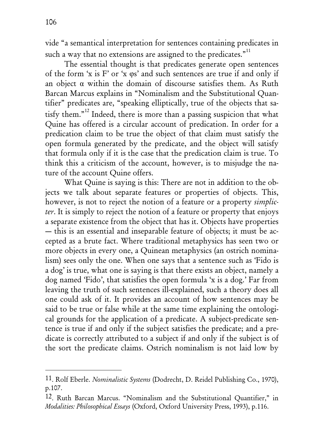vide "a semantical interpretation for sentences containing predicates in such a way that no extensions are assigned to the predicates."<sup>11</sup>

The essential thought is that predicates generate open sentences of the form 'x is F' or 'x  $\varphi$ s' and such sentences are true if and only if an object  $\alpha$  within the domain of discourse satisfies them. As Ruth Barcan Marcus explains in "Nominalism and the Substitutional Quantifier" predicates are, "speaking elliptically, true of the objects that satisfy them."<sup>12</sup> Indeed, there is more than a passing suspicion that what Quine has offered is a circular account of predication. In order for a predication claim to be true the object of that claim must satisfy the open formula generated by the predicate, and the object will satisfy that formula only if it is the case that the predication claim is true. To think this a criticism of the account, however, is to misjudge the nature of the account Quine offers.

What Quine is saying is this: There are not in addition to the objects we talk about separate features or properties of objects. This, however, is not to reject the notion of a feature or a property *simplic*ter. It is simply to reject the notion of a feature or property that enjoys a separate existence from the object that has it. Objects have properties — this is an essential and inseparable feature of objects; it must be accepted as a brute fact. Where traditional metaphysics has seen two or more objects in every one, a Quinean metaphysics (an ostrich nominalism) sees only the one. When one says that a sentence such as 'Fido is a dog' is true, what one is saying is that there exists an object, namely a dog named 'Fido', that satisfies the open formula 'x is a dog.' Far from leaving the truth of such sentences ill-explained, such a theory does all one could ask of it. It provides an account of how sentences may be said to be true or false while at the same time explaining the ontological grounds for the application of a predicate. A subject-predicate sentence is true if and only if the subject satisfies the predicate; and a predicate is correctly attributed to a subject if and only if the subject is of the sort the predicate claims. Ostrich nominalism is not laid low by

<sup>11.</sup> Rolf Eberle. Nominalistic Systems (Dodrecht, D. Reidel Publishing Co., 1970), p.107.

<sup>12.</sup> Ruth Barcan Marcus. "Nominalism and the Substitutional Quantifier," in Modalities: Philosophical Essays (Oxford, Oxford University Press, 1993), p.116.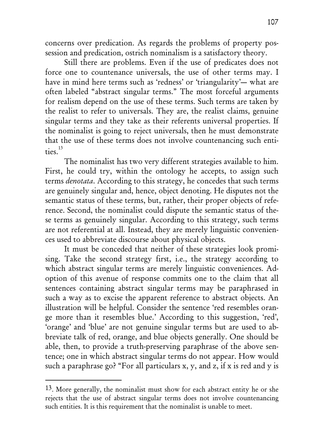concerns over predication. As regards the problems of property possession and predication, ostrich nominalism is a satisfactory theory.

Still there are problems. Even if the use of predicates does not force one to countenance universals, the use of other terms may. I have in mind here terms such as 'redness' or 'triangularity'— what are often labeled "abstract singular terms." The most forceful arguments for realism depend on the use of these terms. Such terms are taken by the realist to refer to universals. They are, the realist claims, genuine singular terms and they take as their referents universal properties. If the nominalist is going to reject universals, then he must demonstrate that the use of these terms does not involve countenancing such entities.<sup>13</sup>

The nominalist has two very different strategies available to him. First, he could try, within the ontology he accepts, to assign such terms denotata. According to this strategy, he concedes that such terms are genuinely singular and, hence, object denoting. He disputes not the semantic status of these terms, but, rather, their proper objects of reference. Second, the nominalist could dispute the semantic status of these terms as genuinely singular. According to this strategy, such terms are not referential at all. Instead, they are merely linguistic conveniences used to abbreviate discourse about physical objects.

It must be conceded that neither of these strategies look promising. Take the second strategy first, i.e., the strategy according to which abstract singular terms are merely linguistic conveniences. Adoption of this avenue of response commits one to the claim that all sentences containing abstract singular terms may be paraphrased in such a way as to excise the apparent reference to abstract objects. An illustration will be helpful. Consider the sentence 'red resembles orange more than it resembles blue.' According to this suggestion, 'red', 'orange' and 'blue' are not genuine singular terms but are used to abbreviate talk of red, orange, and blue objects generally. One should be able, then, to provide a truth-preserving paraphrase of the above sentence; one in which abstract singular terms do not appear. How would such a paraphrase go? "For all particulars x, y, and  $z$ , if x is red and y is

<sup>13.</sup> More generally, the nominalist must show for each abstract entity he or she rejects that the use of abstract singular terms does not involve countenancing such entities. It is this requirement that the nominalist is unable to meet.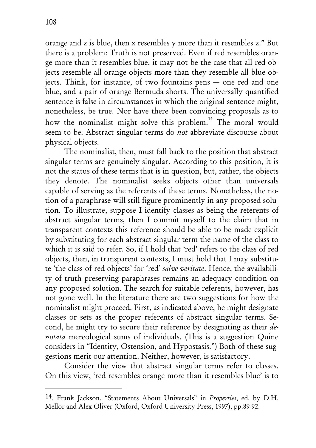orange and z is blue, then x resembles y more than it resembles z." But there is a problem: Truth is not preserved. Even if red resembles orange more than it resembles blue, it may not be the case that all red objects resemble all orange objects more than they resemble all blue objects. Think, for instance, of two fountains pens — one red and one blue, and a pair of orange Bermuda shorts. The universally quantified sentence is false in circumstances in which the original sentence might, nonetheless, be true. Nor have there been convincing proposals as to how the nominalist might solve this problem.<sup>14</sup> The moral would seem to be: Abstract singular terms do *not* abbreviate discourse about physical objects.

The nominalist, then, must fall back to the position that abstract singular terms are genuinely singular. According to this position, it is not the status of these terms that is in question, but, rather, the objects they denote. The nominalist seeks objects other than universals capable of serving as the referents of these terms. Nonetheless, the notion of a paraphrase will still figure prominently in any proposed solution. To illustrate, suppose I identify classes as being the referents of abstract singular terms, then I commit myself to the claim that in transparent contexts this reference should be able to be made explicit by substituting for each abstract singular term the name of the class to which it is said to refer. So, if I hold that 'red' refers to the class of red objects, then, in transparent contexts, I must hold that I may substitute 'the class of red objects' for 'red' salve veritate. Hence, the availability of truth preserving paraphrases remains an adequacy condition on any proposed solution. The search for suitable referents, however, has not gone well. In the literature there are two suggestions for how the nominalist might proceed. First, as indicated above, he might designate classes or sets as the proper referents of abstract singular terms. Second, he might try to secure their reference by designating as their denotata mereological sums of individuals. (This is a suggestion Quine considers in "Identity, Ostension, and Hypostasis.") Both of these suggestions merit our attention. Neither, however, is satisfactory.

Consider the view that abstract singular terms refer to classes. On this view, 'red resembles orange more than it resembles blue' is to

<sup>14.</sup> Frank Jackson. "Statements About Universals" in Properties, ed. by D.H. Mellor and Alex Oliver (Oxford, Oxford University Press, 1997), pp.89-92.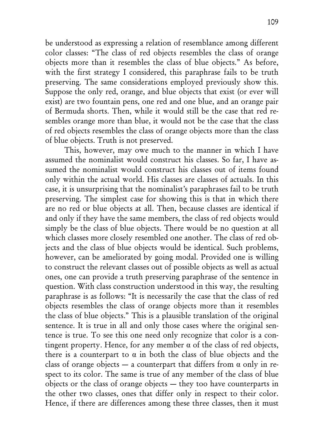be understood as expressing a relation of resemblance among different color classes: "The class of red objects resembles the class of orange objects more than it resembles the class of blue objects." As before, with the first strategy I considered, this paraphrase fails to be truth preserving. The same considerations employed previously show this. Suppose the only red, orange, and blue objects that exist (or ever will exist) are two fountain pens, one red and one blue, and an orange pair of Bermuda shorts. Then, while it would still be the case that red resembles orange more than blue, it would not be the case that the class of red objects resembles the class of orange objects more than the class of blue objects. Truth is not preserved.

This, however, may owe much to the manner in which I have assumed the nominalist would construct his classes. So far, I have assumed the nominalist would construct his classes out of items found only within the actual world. His classes are classes of actuals. In this case, it is unsurprising that the nominalist's paraphrases fail to be truth preserving. The simplest case for showing this is that in which there are no red or blue objects at all. Then, because classes are identical if and only if they have the same members, the class of red objects would simply be the class of blue objects. There would be no question at all which classes more closely resembled one another. The class of red objects and the class of blue objects would be identical. Such problems, however, can be ameliorated by going modal. Provided one is willing to construct the relevant classes out of possible objects as well as actual ones, one can provide a truth preserving paraphrase of the sentence in question. With class construction understood in this way, the resulting paraphrase is as follows: "It is necessarily the case that the class of red objects resembles the class of orange objects more than it resembles the class of blue objects." This is a plausible translation of the original sentence. It is true in all and only those cases where the original sentence is true. To see this one need only recognize that color is a contingent property. Hence, for any member  $\alpha$  of the class of red objects, there is a counterpart to  $\alpha$  in both the class of blue objects and the class of orange objects  $-$  a counterpart that differs from  $\alpha$  only in respect to its color. The same is true of any member of the class of blue objects or the class of orange objects — they too have counterparts in the other two classes, ones that differ only in respect to their color. Hence, if there are differences among these three classes, then it must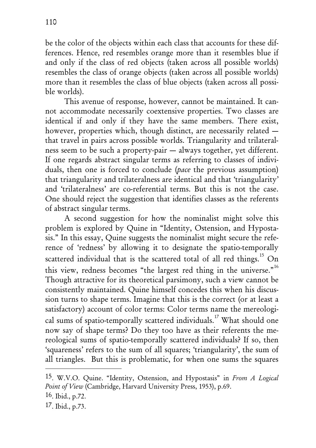110

be the color of the objects within each class that accounts for these differences. Hence, red resembles orange more than it resembles blue if and only if the class of red objects (taken across all possible worlds) resembles the class of orange objects (taken across all possible worlds) more than it resembles the class of blue objects (taken across all possible worlds).

This avenue of response, however, cannot be maintained. It cannot accommodate necessarily coextensive properties. Two classes are identical if and only if they have the same members. There exist, however, properties which, though distinct, are necessarily related that travel in pairs across possible worlds. Triangularity and trilateralness seem to be such a property-pair — always together, yet different. If one regards abstract singular terms as referring to classes of individuals, then one is forced to conclude (pace the previous assumption) that triangularity and trilateralness are identical and that 'triangularity' and 'trilateralness' are co-referential terms. But this is not the case. One should reject the suggestion that identifies classes as the referents of abstract singular terms.

A second suggestion for how the nominalist might solve this problem is explored by Quine in "Identity, Ostension, and Hypostasis." In this essay, Quine suggests the nominalist might secure the reference of 'redness' by allowing it to designate the spatio-temporally scattered individual that is the scattered total of all red things.<sup>15</sup> On this view, redness becomes "the largest red thing in the universe."<sup>16</sup> Though attractive for its theoretical parsimony, such a view cannot be consistently maintained. Quine himself concedes this when his discussion turns to shape terms. Imagine that this is the correct (or at least a satisfactory) account of color terms: Color terms name the mereological sums of spatio-temporally scattered individuals.<sup>17</sup> What should one now say of shape terms? Do they too have as their referents the mereological sums of spatio-temporally scattered individuals? If so, then 'squareness' refers to the sum of all squares; 'triangularity', the sum of all triangles. But this is problematic, for when one sums the squares

<sup>15.</sup> W.V.O. Quine. "Identity, Ostension, and Hypostasis" in From A Logical Point of View (Cambridge, Harvard University Press, 1953), p.69.

<sup>16.</sup> Ibid., p.72.

<sup>17.</sup> Ibid., p.73.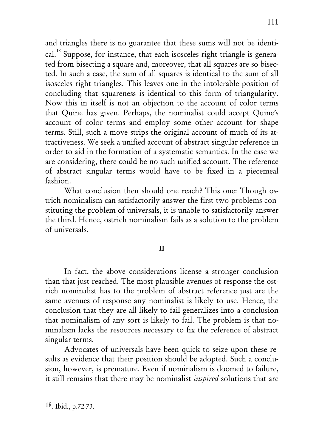and triangles there is no guarantee that these sums will not be identical.<sup>18</sup> Suppose, for instance, that each isosceles right triangle is generated from bisecting a square and, moreover, that all squares are so bisected. In such a case, the sum of all squares is identical to the sum of all isosceles right triangles. This leaves one in the intolerable position of concluding that squareness is identical to this form of triangularity. Now this in itself is not an objection to the account of color terms that Quine has given. Perhaps, the nominalist could accept Quine's account of color terms and employ some other account for shape terms. Still, such a move strips the original account of much of its attractiveness. We seek a unified account of abstract singular reference in order to aid in the formation of a systematic semantics. In the case we are considering, there could be no such unified account. The reference of abstract singular terms would have to be fixed in a piecemeal fashion.

What conclusion then should one reach? This one: Though ostrich nominalism can satisfactorily answer the first two problems constituting the problem of universals, it is unable to satisfactorily answer the third. Hence, ostrich nominalism fails as a solution to the problem of universals.

### II

In fact, the above considerations license a stronger conclusion than that just reached. The most plausible avenues of response the ostrich nominalist has to the problem of abstract reference just are the same avenues of response any nominalist is likely to use. Hence, the conclusion that they are all likely to fail generalizes into a conclusion that nominalism of any sort is likely to fail. The problem is that nominalism lacks the resources necessary to fix the reference of abstract singular terms.

Advocates of universals have been quick to seize upon these results as evidence that their position should be adopted. Such a conclusion, however, is premature. Even if nominalism is doomed to failure, it still remains that there may be nominalist inspired solutions that are

<sup>18.</sup> Ibid., p.72-73.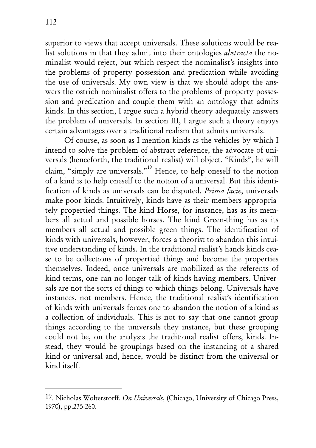superior to views that accept universals. These solutions would be realist solutions in that they admit into their ontologies abstracta the nominalist would reject, but which respect the nominalist's insights into the problems of property possession and predication while avoiding the use of universals. My own view is that we should adopt the answers the ostrich nominalist offers to the problems of property possession and predication and couple them with an ontology that admits kinds. In this section, I argue such a hybrid theory adequately answers the problem of universals. In section III, I argue such a theory enjoys certain advantages over a traditional realism that admits universals.

Of course, as soon as I mention kinds as the vehicles by which I intend to solve the problem of abstract reference, the advocate of universals (henceforth, the traditional realist) will object. "Kinds", he will claim, "simply are universals."<sup>19</sup> Hence, to help oneself to the notion of a kind is to help oneself to the notion of a universal. But this identification of kinds as universals can be disputed. Prima facie, universals make poor kinds. Intuitively, kinds have as their members appropriately propertied things. The kind Horse, for instance, has as its members all actual and possible horses. The kind Green-thing has as its members all actual and possible green things. The identification of kinds with universals, however, forces a theorist to abandon this intuitive understanding of kinds. In the traditional realist's hands kinds cease to be collections of propertied things and become the properties themselves. Indeed, once universals are mobilized as the referents of kind terms, one can no longer talk of kinds having members. Universals are not the sorts of things to which things belong. Universals have instances, not members. Hence, the traditional realist's identification of kinds with universals forces one to abandon the notion of a kind as a collection of individuals. This is not to say that one cannot group things according to the universals they instance, but these grouping could not be, on the analysis the traditional realist offers, kinds. Instead, they would be groupings based on the instancing of a shared kind or universal and, hence, would be distinct from the universal or kind itself.

<sup>19.</sup> Nicholas Wolterstorff. On Universals, (Chicago, University of Chicago Press, 1970), pp.235-260.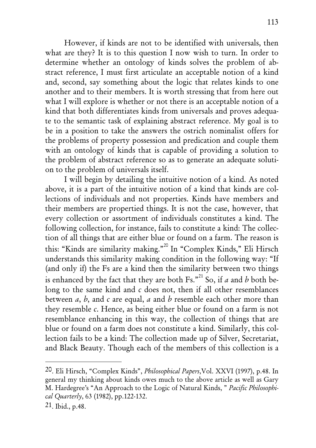However, if kinds are not to be identified with universals, then what are they? It is to this question I now wish to turn. In order to determine whether an ontology of kinds solves the problem of abstract reference, I must first articulate an acceptable notion of a kind and, second, say something about the logic that relates kinds to one another and to their members. It is worth stressing that from here out what I will explore is whether or not there is an acceptable notion of a kind that both differentiates kinds from universals and proves adequate to the semantic task of explaining abstract reference. My goal is to be in a position to take the answers the ostrich nominalist offers for the problems of property possession and predication and couple them with an ontology of kinds that is capable of providing a solution to the problem of abstract reference so as to generate an adequate solution to the problem of universals itself.

I will begin by detailing the intuitive notion of a kind. As noted above, it is a part of the intuitive notion of a kind that kinds are collections of individuals and not properties. Kinds have members and their members are propertied things. It is not the case, however, that every collection or assortment of individuals constitutes a kind. The following collection, for instance, fails to constitute a kind: The collection of all things that are either blue or found on a farm. The reason is this: "Kinds are similarity making."20 In "Complex Kinds," Eli Hirsch understands this similarity making condition in the following way: "If (and only if) the Fs are a kind then the similarity between two things is enhanced by the fact that they are both Fs."<sup>21</sup> So, if a and b both belong to the same kind and c does not, then if all other resemblances between a, b, and c are equal, a and b resemble each other more than they resemble c. Hence, as being either blue or found on a farm is not resemblance enhancing in this way, the collection of things that are blue or found on a farm does not constitute a kind. Similarly, this collection fails to be a kind: The collection made up of Silver, Secretariat, and Black Beauty. Though each of the members of this collection is a

<sup>20.</sup> Eli Hirsch, "Complex Kinds", Philosophical Papers,Vol. XXVI (1997), p.48. In general my thinking about kinds owes much to the above article as well as Gary M. Hardegree's "An Approach to the Logic of Natural Kinds, " Pacific Philosophical Quarterly, 63 (1982), pp.122-132.

<sup>21.</sup> Ibid., p.48.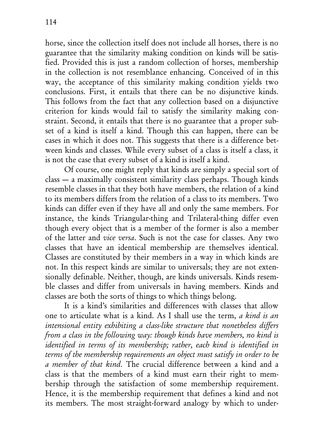horse, since the collection itself does not include all horses, there is no guarantee that the similarity making condition on kinds will be satisfied. Provided this is just a random collection of horses, membership in the collection is not resemblance enhancing. Conceived of in this way, the acceptance of this similarity making condition yields two conclusions. First, it entails that there can be no disjunctive kinds. This follows from the fact that any collection based on a disjunctive criterion for kinds would fail to satisfy the similarity making constraint. Second, it entails that there is no guarantee that a proper subset of a kind is itself a kind. Though this can happen, there can be cases in which it does not. This suggests that there is a difference between kinds and classes. While every subset of a class is itself a class, it is not the case that every subset of a kind is itself a kind.

Of course, one might reply that kinds are simply a special sort of class — a maximally consistent similarity class perhaps. Though kinds resemble classes in that they both have members, the relation of a kind to its members differs from the relation of a class to its members. Two kinds can differ even if they have all and only the same members. For instance, the kinds Triangular-thing and Trilateral-thing differ even though every object that is a member of the former is also a member of the latter and vice versa. Such is not the case for classes. Any two classes that have an identical membership are themselves identical. Classes are constituted by their members in a way in which kinds are not. In this respect kinds are similar to universals; they are not extensionally definable. Neither, though, are kinds universals. Kinds resemble classes and differ from universals in having members. Kinds and classes are both the sorts of things to which things belong.

It is a kind's similarities and differences with classes that allow one to articulate what is a kind. As I shall use the term, a kind is an intensional entity exhibiting a class-like structure that nonetheless differs from a class in the following way: though kinds have members, no kind is identified in terms of its membership; rather, each kind is identified in terms of the membership requirements an object must satisfy in order to be a member of that kind. The crucial difference between a kind and a class is that the members of a kind must earn their right to membership through the satisfaction of some membership requirement. Hence, it is the membership requirement that defines a kind and not its members. The most straight-forward analogy by which to under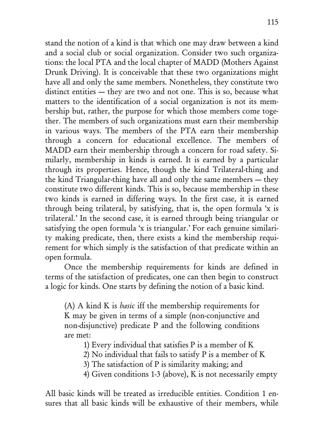stand the notion of a kind is that which one may draw between a kind and a social club or social organization. Consider two such organizations: the local PTA and the local chapter of MADD (Mothers Against Drunk Driving). It is conceivable that these two organizations might have all and only the same members. Nonetheless, they constitute two distinct entities — they are two and not one. This is so, because what matters to the identification of a social organization is not its membership but, rather, the purpose for which those members come together. The members of such organizations must earn their membership in various ways. The members of the PTA earn their membership through a concern for educational excellence. The members of MADD earn their membership through a concern for road safety. Similarly, membership in kinds is earned. It is earned by a particular through its properties. Hence, though the kind Trilateral-thing and the kind Triangular-thing have all and only the same members — they constitute two different kinds. This is so, because membership in these two kinds is earned in differing ways. In the first case, it is earned through being trilateral, by satisfying, that is, the open formula 'x is trilateral.' In the second case, it is earned through being triangular or satisfying the open formula 'x is triangular.' For each genuine similarity making predicate, then, there exists a kind the membership requirement for which simply is the satisfaction of that predicate within an open formula.

Once the membership requirements for kinds are defined in terms of the satisfaction of predicates, one can then begin to construct a logic for kinds. One starts by defining the notion of a basic kind.

(A) A kind K is basic iff the membership requirements for K may be given in terms of a simple (non-conjunctive and non-disjunctive) predicate P and the following conditions are met:

1) Every individual that satisfies P is a member of K

2) No individual that fails to satisfy P is a member of K

3) The satisfaction of P is similarity making; and

4) Given conditions 1-3 (above), K is not necessarily empty

All basic kinds will be treated as irreducible entities. Condition 1 ensures that all basic kinds will be exhaustive of their members, while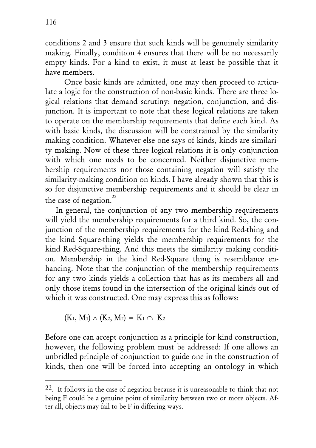conditions 2 and 3 ensure that such kinds will be genuinely similarity making. Finally, condition 4 ensures that there will be no necessarily empty kinds. For a kind to exist, it must at least be possible that it have members.

Once basic kinds are admitted, one may then proceed to articulate a logic for the construction of non-basic kinds. There are three logical relations that demand scrutiny: negation, conjunction, and disjunction. It is important to note that these logical relations are taken to operate on the membership requirements that define each kind. As with basic kinds, the discussion will be constrained by the similarity making condition. Whatever else one says of kinds, kinds are similarity making. Now of these three logical relations it is only conjunction with which one needs to be concerned. Neither disjunctive membership requirements nor those containing negation will satisfy the similarity-making condition on kinds. I have already shown that this is so for disjunctive membership requirements and it should be clear in the case of negation. $^{22}$ 

In general, the conjunction of any two membership requirements will yield the membership requirements for a third kind. So, the conjunction of the membership requirements for the kind Red-thing and the kind Square-thing yields the membership requirements for the kind Red-Square-thing. And this meets the similarity making condition. Membership in the kind Red-Square thing is resemblance enhancing. Note that the conjunction of the membership requirements for any two kinds yields a collection that has as its members all and only those items found in the intersection of the original kinds out of which it was constructed. One may express this as follows:

 $(K_1, M_1) \wedge (K_2, M_2) = K_1 \cap K_2$ 

Before one can accept conjunction as a principle for kind construction, however, the following problem must be addressed: If one allows an unbridled principle of conjunction to guide one in the construction of kinds, then one will be forced into accepting an ontology in which

<sup>22.</sup> It follows in the case of negation because it is unreasonable to think that not being F could be a genuine point of similarity between two or more objects. After all, objects may fail to be F in differing ways.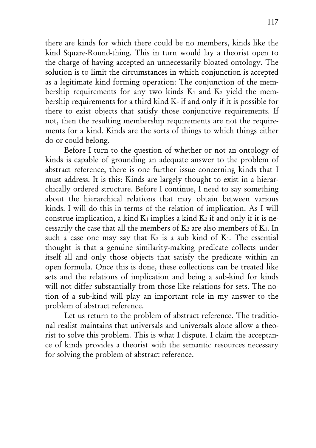there are kinds for which there could be no members, kinds like the kind Square-Round-thing. This in turn would lay a theorist open to the charge of having accepted an unnecessarily bloated ontology. The solution is to limit the circumstances in which conjunction is accepted as a legitimate kind forming operation: The conjunction of the membership requirements for any two kinds  $K_1$  and  $K_2$  yield the membership requirements for a third kind K3 if and only if it is possible for there to exist objects that satisfy those conjunctive requirements. If not, then the resulting membership requirements are not the requirements for a kind. Kinds are the sorts of things to which things either do or could belong.

Before I turn to the question of whether or not an ontology of kinds is capable of grounding an adequate answer to the problem of abstract reference, there is one further issue concerning kinds that I must address. It is this: Kinds are largely thought to exist in a hierarchically ordered structure. Before I continue, I need to say something about the hierarchical relations that may obtain between various kinds. I will do this in terms of the relation of implication. As I will construe implication, a kind  $K_1$  implies a kind  $K_2$  if and only if it is necessarily the case that all the members of  $K_2$  are also members of  $K_1$ . In such a case one may say that  $K_2$  is a sub kind of  $K_1$ . The essential thought is that a genuine similarity-making predicate collects under itself all and only those objects that satisfy the predicate within an open formula. Once this is done, these collections can be treated like sets and the relations of implication and being a sub-kind for kinds will not differ substantially from those like relations for sets. The notion of a sub-kind will play an important role in my answer to the problem of abstract reference.

Let us return to the problem of abstract reference. The traditional realist maintains that universals and universals alone allow a theorist to solve this problem. This is what I dispute. I claim the acceptance of kinds provides a theorist with the semantic resources necessary for solving the problem of abstract reference.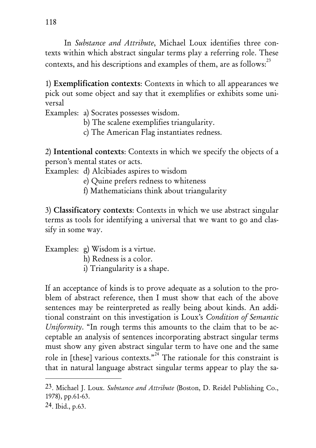In Substance and Attribute, Michael Loux identifies three contexts within which abstract singular terms play a referring role. These contexts, and his descriptions and examples of them, are as follows:<sup>23</sup>

1) Exemplification contexts: Contexts in which to all appearances we pick out some object and say that it exemplifies or exhibits some universal

Examples: a) Socrates possesses wisdom.

- b) The scalene exemplifies triangularity.
- c) The American Flag instantiates redness.

2) Intentional contexts: Contexts in which we specify the objects of a person's mental states or acts.

Examples: d) Alcibiades aspires to wisdom

- e) Quine prefers redness to whiteness
- f) Mathematicians think about triangularity

3) Classificatory contexts: Contexts in which we use abstract singular terms as tools for identifying a universal that we want to go and classify in some way.

Examples: g) Wisdom is a virtue. h) Redness is a color. i) Triangularity is a shape.

If an acceptance of kinds is to prove adequate as a solution to the problem of abstract reference, then I must show that each of the above sentences may be reinterpreted as really being about kinds. An additional constraint on this investigation is Loux's Condition of Semantic Uniformity. "In rough terms this amounts to the claim that to be acceptable an analysis of sentences incorporating abstract singular terms must show any given abstract singular term to have one and the same role in [these] various contexts."<sup>24</sup> The rationale for this constraint is that in natural language abstract singular terms appear to play the sa-

<sup>23.</sup> Michael J. Loux. Substance and Attribute (Boston, D. Reidel Publishing Co., 1978), pp.61-63.

<sup>24.</sup> Ibid., p.63.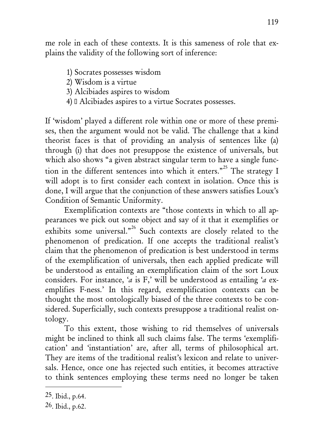me role in each of these contexts. It is this sameness of role that explains the validity of the following sort of inference:

- 1) Socrates possesses wisdom
- 2) Wisdom is a virtue
- 3) Alcibiades aspires to wisdom
- 4) I Alcibiades aspires to a virtue Socrates possesses.

If 'wisdom' played a different role within one or more of these premises, then the argument would not be valid. The challenge that a kind theorist faces is that of providing an analysis of sentences like (a) through (i) that does not presuppose the existence of universals, but which also shows "a given abstract singular term to have a single function in the different sentences into which it enters."<sup>25</sup> The strategy I will adopt is to first consider each context in isolation. Once this is done, I will argue that the conjunction of these answers satisfies Loux's Condition of Semantic Uniformity.

Exemplification contexts are "those contexts in which to all appearances we pick out some object and say of it that it exemplifies or exhibits some universal."<sup>26</sup> Such contexts are closely related to the phenomenon of predication. If one accepts the traditional realist's claim that the phenomenon of predication is best understood in terms of the exemplification of universals, then each applied predicate will be understood as entailing an exemplification claim of the sort Loux considers. For instance, '*a* is F,' will be understood as entailing '*a* exemplifies F-ness.' In this regard, exemplification contexts can be thought the most ontologically biased of the three contexts to be considered. Superficially, such contexts presuppose a traditional realist ontology.

To this extent, those wishing to rid themselves of universals might be inclined to think all such claims false. The terms 'exemplification' and 'instantiation' are, after all, terms of philosophical art. They are items of the traditional realist's lexicon and relate to universals. Hence, once one has rejected such entities, it becomes attractive to think sentences employing these terms need no longer be taken

<sup>25.</sup> Ibid., p.64.

<sup>26.</sup> Ibid., p.62.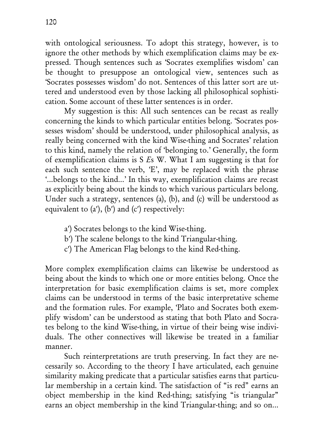with ontological seriousness. To adopt this strategy, however, is to ignore the other methods by which exemplification claims may be expressed. Though sentences such as 'Socrates exemplifies wisdom' can be thought to presuppose an ontological view, sentences such as 'Socrates possesses wisdom' do not. Sentences of this latter sort are uttered and understood even by those lacking all philosophical sophistication. Some account of these latter sentences is in order.

My suggestion is this: All such sentences can be recast as really concerning the kinds to which particular entities belong. 'Socrates possesses wisdom' should be understood, under philosophical analysis, as really being concerned with the kind Wise-thing and Socrates' relation to this kind, namely the relation of 'belonging to.' Generally, the form of exemplification claims is S Es W. What I am suggesting is that for each such sentence the verb, 'E', may be replaced with the phrase '...belongs to the kind...' In this way, exemplification claims are recast as explicitly being about the kinds to which various particulars belong. Under such a strategy, sentences (a), (b), and (c) will be understood as equivalent to  $(a')$ ,  $(b')$  and  $(c')$  respectively:

- a') Socrates belongs to the kind Wise-thing.
- b') The scalene belongs to the kind Triangular-thing.
- $c'$ ) The American Flag belongs to the kind Red-thing.

More complex exemplification claims can likewise be understood as being about the kinds to which one or more entities belong. Once the interpretation for basic exemplification claims is set, more complex claims can be understood in terms of the basic interpretative scheme and the formation rules. For example, 'Plato and Socrates both exemplify wisdom' can be understood as stating that both Plato and Socrates belong to the kind Wise-thing, in virtue of their being wise individuals. The other connectives will likewise be treated in a familiar manner.

Such reinterpretations are truth preserving. In fact they are necessarily so. According to the theory I have articulated, each genuine similarity making predicate that a particular satisfies earns that particular membership in a certain kind. The satisfaction of "is red" earns an object membership in the kind Red-thing; satisfying "is triangular" earns an object membership in the kind Triangular-thing; and so on...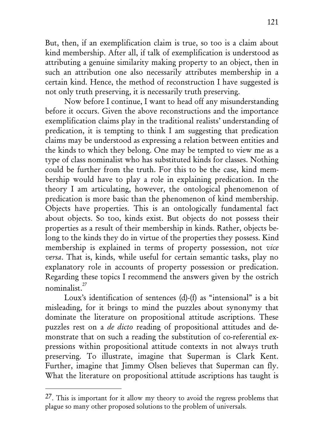But, then, if an exemplification claim is true, so too is a claim about kind membership. After all, if talk of exemplification is understood as attributing a genuine similarity making property to an object, then in such an attribution one also necessarily attributes membership in a certain kind. Hence, the method of reconstruction I have suggested is not only truth preserving, it is necessarily truth preserving.

Now before I continue, I want to head off any misunderstanding before it occurs. Given the above reconstructions and the importance exemplification claims play in the traditional realists' understanding of predication, it is tempting to think I am suggesting that predication claims may be understood as expressing a relation between entities and the kinds to which they belong. One may be tempted to view me as a type of class nominalist who has substituted kinds for classes. Nothing could be further from the truth. For this to be the case, kind membership would have to play a role in explaining predication. In the theory I am articulating, however, the ontological phenomenon of predication is more basic than the phenomenon of kind membership. Objects have properties. This is an ontologically fundamental fact about objects. So too, kinds exist. But objects do not possess their properties as a result of their membership in kinds. Rather, objects belong to the kinds they do in virtue of the properties they possess. Kind membership is explained in terms of property possession, not vice versa. That is, kinds, while useful for certain semantic tasks, play no explanatory role in accounts of property possession or predication. Regarding these topics I recommend the answers given by the ostrich nominalist.<sup>27</sup>

Loux's identification of sentences (d)-(f) as "intensional" is a bit misleading, for it brings to mind the puzzles about synonymy that dominate the literature on propositional attitude ascriptions. These puzzles rest on a de dicto reading of propositional attitudes and demonstrate that on such a reading the substitution of co-referential expressions within propositional attitude contexts in not always truth preserving. To illustrate, imagine that Superman is Clark Kent. Further, imagine that Jimmy Olsen believes that Superman can fly. What the literature on propositional attitude ascriptions has taught is

<sup>27.</sup> This is important for it allow my theory to avoid the regress problems that plague so many other proposed solutions to the problem of universals.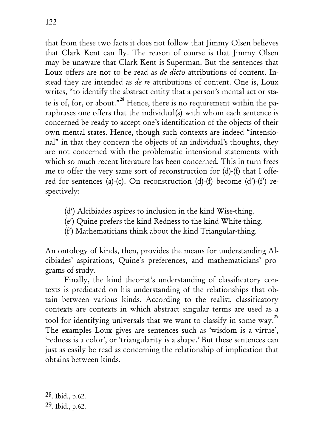that from these two facts it does not follow that Jimmy Olsen believes that Clark Kent can fly. The reason of course is that Jimmy Olsen may be unaware that Clark Kent is Superman. But the sentences that Loux offers are not to be read as *de dicto* attributions of content. Instead they are intended as de re attributions of content. One is, Loux writes, "to identify the abstract entity that a person's mental act or state is of, for, or about."<sup>28</sup> Hence, there is no requirement within the paraphrases one offers that the individual(s) with whom each sentence is concerned be ready to accept one's identification of the objects of their own mental states. Hence, though such contexts are indeed "intensional" in that they concern the objects of an individual's thoughts, they are not concerned with the problematic intensional statements with which so much recent literature has been concerned. This in turn frees me to offer the very same sort of reconstruction for (d)-(f) that I offered for sentences (a)-(c). On reconstruction (d)-(f) become (d')-(f') re-

spectively:

- $(d')$  Alcibiades aspires to inclusion in the kind Wise-thing.
- (e') Quine prefers the kind Redness to the kind White-thing.
- $(f')$  Mathematicians think about the kind Triangular-thing.

An ontology of kinds, then, provides the means for understanding Alcibiades' aspirations, Quine's preferences, and mathematicians' programs of study.

Finally, the kind theorist's understanding of classificatory contexts is predicated on his understanding of the relationships that obtain between various kinds. According to the realist, classificatory contexts are contexts in which abstract singular terms are used as a tool for identifying universals that we want to classify in some way.<sup>29</sup> The examples Loux gives are sentences such as 'wisdom is a virtue', 'redness is a color', or 'triangularity is a shape.' But these sentences can just as easily be read as concerning the relationship of implication that obtains between kinds.

- 28. Ibid., p.62.
- 29. Ibid., p.62.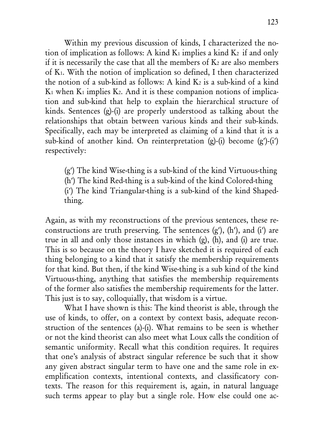Within my previous discussion of kinds, I characterized the notion of implication as follows: A kind  $K_1$  implies a kind  $K_2$  if and only if it is necessarily the case that all the members of  $K<sub>2</sub>$  are also members of K1. With the notion of implication so defined, I then characterized the notion of a sub-kind as follows: A kind K2 is a sub-kind of a kind  $K_1$  when  $K_1$  implies  $K_2$ . And it is these companion notions of implication and sub-kind that help to explain the hierarchical structure of kinds. Sentences (g)-(i) are properly understood as talking about the relationships that obtain between various kinds and their sub-kinds. Specifically, each may be interpreted as claiming of a kind that it is a sub-kind of another kind. On reinterpretation  $(g)$ -(i) become  $(g')$ -(i') respectively:

 $(g')$  The kind Wise-thing is a sub-kind of the kind Virtuous-thing  $(h')$  The kind Red-thing is a sub-kind of the kind Colored-thing  $(i')$  The kind Triangular-thing is a sub-kind of the kind Shapedthing.

Again, as with my reconstructions of the previous sentences, these reconstructions are truth preserving. The sentences  $(g', h',$  and  $(i')$  are true in all and only those instances in which (g), (h), and (i) are true. This is so because on the theory I have sketched it is required of each thing belonging to a kind that it satisfy the membership requirements for that kind. But then, if the kind Wise-thing is a sub kind of the kind Virtuous-thing, anything that satisfies the membership requirements of the former also satisfies the membership requirements for the latter. This just is to say, colloquially, that wisdom is a virtue.

What I have shown is this: The kind theorist is able, through the use of kinds, to offer, on a context by context basis, adequate reconstruction of the sentences (a)-(i). What remains to be seen is whether or not the kind theorist can also meet what Loux calls the condition of semantic uniformity. Recall what this condition requires. It requires that one's analysis of abstract singular reference be such that it show any given abstract singular term to have one and the same role in exemplification contexts, intentional contexts, and classificatory contexts. The reason for this requirement is, again, in natural language such terms appear to play but a single role. How else could one ac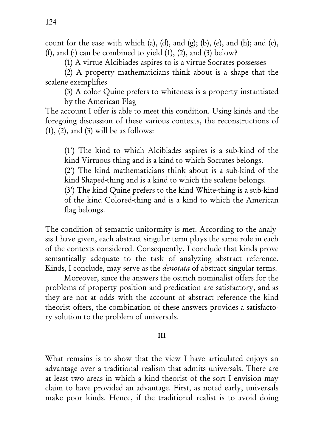count for the ease with which (a), (d), and (g); (b), (e), and (h); and (c), (f), and (i) can be combined to yield  $(1)$ ,  $(2)$ , and  $(3)$  below?

(1) A virtue Alcibiades aspires to is a virtue Socrates possesses

(2) A property mathematicians think about is a shape that the scalene exemplifies

(3) A color Quine prefers to whiteness is a property instantiated by the American Flag

The account I offer is able to meet this condition. Using kinds and the foregoing discussion of these various contexts, the reconstructions of  $(1)$ ,  $(2)$ , and  $(3)$  will be as follows:

 $(1')$  The kind to which Alcibiades aspires is a sub-kind of the kind Virtuous-thing and is a kind to which Socrates belongs.

 $(2')$  The kind mathematicians think about is a sub-kind of the kind Shaped-thing and is a kind to which the scalene belongs.

(3') The kind Quine prefers to the kind White-thing is a sub-kind of the kind Colored-thing and is a kind to which the American flag belongs.

The condition of semantic uniformity is met. According to the analysis I have given, each abstract singular term plays the same role in each of the contexts considered. Consequently, I conclude that kinds prove semantically adequate to the task of analyzing abstract reference. Kinds, I conclude, may serve as the *denotata* of abstract singular terms.

Moreover, since the answers the ostrich nominalist offers for the problems of property position and predication are satisfactory, and as they are not at odds with the account of abstract reference the kind theorist offers, the combination of these answers provides a satisfactory solution to the problem of universals.

### III

What remains is to show that the view I have articulated enjoys an advantage over a traditional realism that admits universals. There are at least two areas in which a kind theorist of the sort I envision may claim to have provided an advantage. First, as noted early, universals make poor kinds. Hence, if the traditional realist is to avoid doing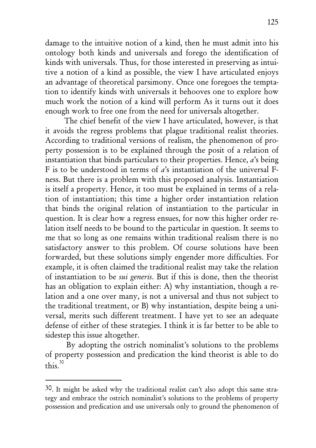damage to the intuitive notion of a kind, then he must admit into his ontology both kinds and universals and forego the identification of kinds with universals. Thus, for those interested in preserving as intuitive a notion of a kind as possible, the view I have articulated enjoys an advantage of theoretical parsimony. Once one foregoes the temptation to identify kinds with universals it behooves one to explore how much work the notion of a kind will perform As it turns out it does enough work to free one from the need for universals altogether.

The chief benefit of the view I have articulated, however, is that it avoids the regress problems that plague traditional realist theories. According to traditional versions of realism, the phenomenon of property possession is to be explained through the posit of a relation of instantiation that binds particulars to their properties. Hence, a's being F is to be understood in terms of  $\alpha$ 's instantiation of the universal Fness. But there is a problem with this proposed analysis. Instantiation is itself a property. Hence, it too must be explained in terms of a relation of instantiation; this time a higher order instantiation relation that binds the original relation of instantiation to the particular in question. It is clear how a regress ensues, for now this higher order relation itself needs to be bound to the particular in question. It seems to me that so long as one remains within traditional realism there is no satisfactory answer to this problem. Of course solutions have been forwarded, but these solutions simply engender more difficulties. For example, it is often claimed the traditional realist may take the relation of instantiation to be sui generis. But if this is done, then the theorist has an obligation to explain either: A) why instantiation, though a relation and a one over many, is not a universal and thus not subject to the traditional treatment, or B) why instantiation, despite being a universal, merits such different treatment. I have yet to see an adequate defense of either of these strategies. I think it is far better to be able to sidestep this issue altogether.

 By adopting the ostrich nominalist's solutions to the problems of property possession and predication the kind theorist is able to do this. $30$ 

<sup>30.</sup> It might be asked why the traditional realist can't also adopt this same strategy and embrace the ostrich nominalist's solutions to the problems of property possession and predication and use universals only to ground the phenomenon of